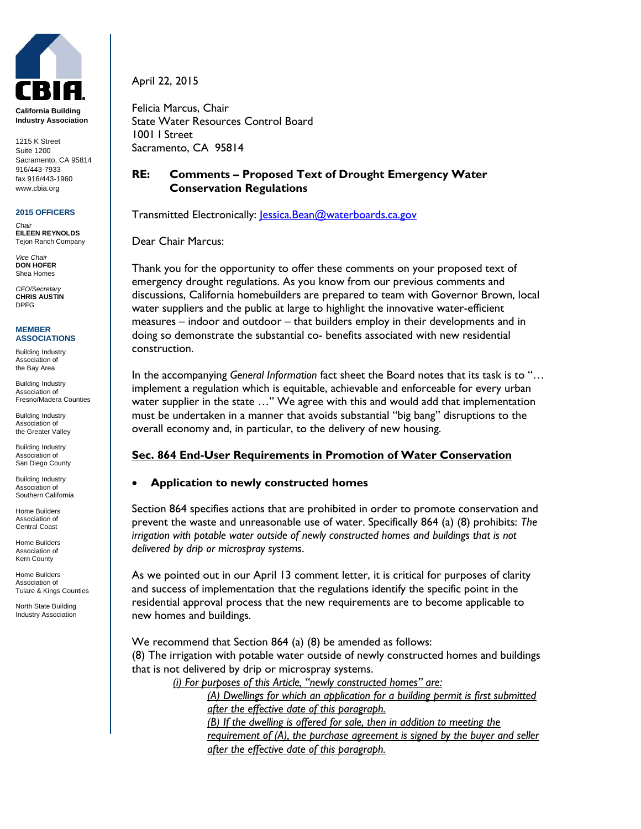

**California Building Industry Association**

1215 K Street Suite 1200 Sacramento, CA 95814 916/443-7933 fax 916/443-1960 www.cbia.org

#### **2015 OFFICERS**

*Chair* **EILEEN REYNOLDS** Tejon Ranch Company

*Vice Chair* **DON HOFER** Shea Homes

*CFO/Secretary* **CHRIS AUSTIN** DPFG

#### **MEMBER ASSOCIATIONS**

Building Industry Association of the Bay Area

Building Industry Association of Fresno/Madera Counties

Building Industry Association of the Greater Valley

Building Industry Association of San Diego County

Building Industry Association of Southern California

Home Builders Association of Central Coast

Home Builders Association of Kern County

Home Builders Association of Tulare & Kings Counties

North State Building Industry Association April 22, 2015

Felicia Marcus, Chair State Water Resources Control Board 1001 I Street Sacramento, CA 95814

# **RE: Comments – Proposed Text of Drought Emergency Water Conservation Regulations**

Transmitted Electronically: lessica.Bean@waterboards.ca.gov

Dear Chair Marcus:

Thank you for the opportunity to offer these comments on your proposed text of emergency drought regulations. As you know from our previous comments and discussions, California homebuilders are prepared to team with Governor Brown, local water suppliers and the public at large to highlight the innovative water-efficient measures – indoor and outdoor – that builders employ in their developments and in doing so demonstrate the substantial co- benefits associated with new residential construction.

In the accompanying *General Information* fact sheet the Board notes that its task is to "… implement a regulation which is equitable, achievable and enforceable for every urban water supplier in the state …" We agree with this and would add that implementation must be undertaken in a manner that avoids substantial "big bang" disruptions to the overall economy and, in particular, to the delivery of new housing.

# **Sec. 864 End-User Requirements in Promotion of Water Conservation**

### **Application to newly constructed homes**

Section 864 specifies actions that are prohibited in order to promote conservation and prevent the waste and unreasonable use of water. Specifically 864 (a) (8) prohibits: *The irrigation with potable water outside of newly constructed homes and buildings that is not delivered by drip or microspray systems*.

As we pointed out in our April 13 comment letter, it is critical for purposes of clarity and success of implementation that the regulations identify the specific point in the residential approval process that the new requirements are to become applicable to new homes and buildings.

We recommend that Section 864 (a) (8) be amended as follows: (8) The irrigation with potable water outside of newly constructed homes and buildings that is not delivered by drip or microspray systems.

 *(i) For purposes of this Article, "newly constructed homes" are:* 

*(A) Dwellings for which an application for a building permit is first submitted after the effective date of this paragraph. (B) If the dwelling is offered for sale, then in addition to meeting the requirement of (A), the purchase agreement is signed by the buyer and seller after the effective date of this paragraph.*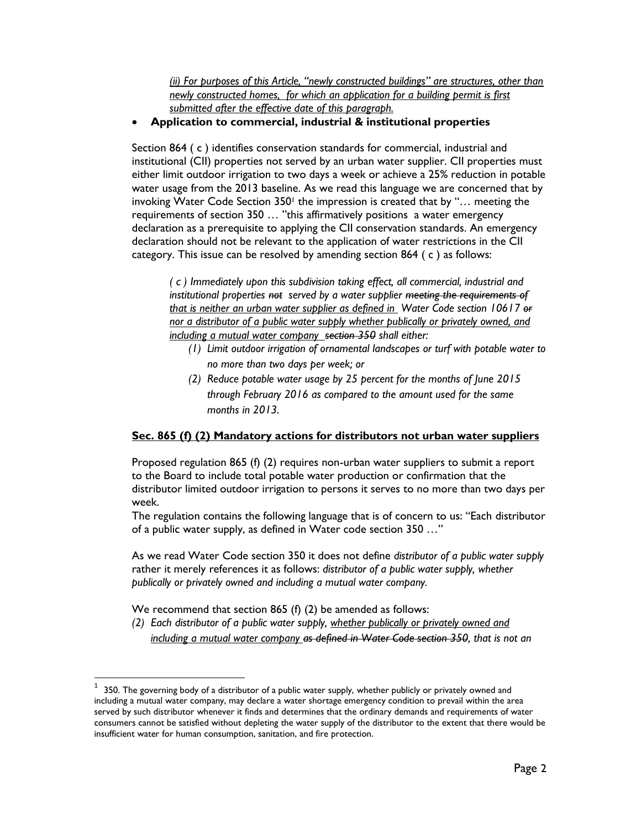*(ii) For purposes of this Article, "newly constructed buildings" are structures, other than newly constructed homes, for which an application for a building permit is first submitted after the effective date of this paragraph.*

### **Application to commercial, industrial & institutional properties**

Section 864 ( c ) identifies conservation standards for commercial, industrial and institutional (CII) properties not served by an urban water supplier. CII properties must either limit outdoor irrigation to two days a week or achieve a 25% reduction in potable water usage from the 2013 baseline. As we read this language we are concerned that by invoking Water Code Section  $350<sup>1</sup>$  the impression is created that by "... meeting the requirements of section 350 … "this affirmatively positions a water emergency declaration as a prerequisite to applying the CII conservation standards. An emergency declaration should not be relevant to the application of water restrictions in the CII category. This issue can be resolved by amending section 864 ( c ) as follows:

*( c ) Immediately upon this subdivision taking effect, all commercial, industrial and institutional properties not served by a water supplier meeting the requirements of that is neither an urban water supplier as defined in Water Code section 10617 or nor a distributor of a public water supply whether publically or privately owned, and including a mutual water company section 350 shall either:*

- *(1) Limit outdoor irrigation of ornamental landscapes or turf with potable water to no more than two days per week; or*
- *(2) Reduce potable water usage by 25 percent for the months of June 2015 through February 2016 as compared to the amount used for the same months in 2013.*

# **Sec. 865 (f) (2) Mandatory actions for distributors not urban water suppliers**

Proposed regulation 865 (f) (2) requires non-urban water suppliers to submit a report to the Board to include total potable water production or confirmation that the distributor limited outdoor irrigation to persons it serves to no more than two days per week.

The regulation contains the following language that is of concern to us: "Each distributor of a public water supply, as defined in Water code section 350 …"

As we read Water Code section 350 it does not define *distributor of a public water supply* rather it merely references it as follows: *distributor of a public water supply, whether publically or privately owned and including a mutual water company.*

We recommend that section 865 (f) (2) be amended as follows:

 $\overline{a}$ 

*(2) Each distributor of a public water supply, whether publically or privately owned and including a mutual water company as defined in Water Code section 350, that is not an* 

<sup>1</sup> 350. The governing body of a distributor of a public water supply, whether publicly or privately owned and including a mutual water company, may declare a water shortage emergency condition to prevail within the area served by such distributor whenever it finds and determines that the ordinary demands and requirements of water consumers cannot be satisfied without depleting the water supply of the distributor to the extent that there would be insufficient water for human consumption, sanitation, and fire protection.